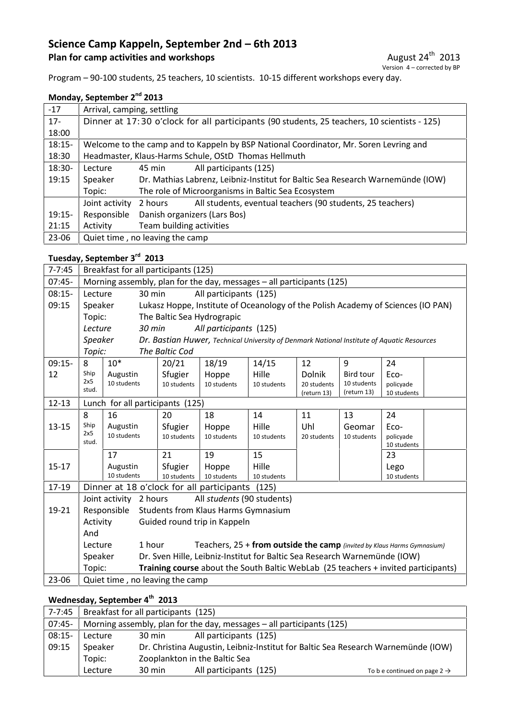## **Science Camp Kappeln, September 2nd – 6th 2013 Plan for camp activities and workshops**

Program – 90-100 students, 25 teachers, 10 scientists. 10-15 different workshops every day.

#### **Monday, September 2nd 2013**

| $-17$    |                                                                                              | Arrival, camping, settling |                                                                                       |  |  |  |  |
|----------|----------------------------------------------------------------------------------------------|----------------------------|---------------------------------------------------------------------------------------|--|--|--|--|
| $17 -$   | Dinner at 17:30 o'clock for all participants (90 students, 25 teachers, 10 scientists - 125) |                            |                                                                                       |  |  |  |  |
| 18:00    |                                                                                              |                            |                                                                                       |  |  |  |  |
| $18:15-$ |                                                                                              |                            | Welcome to the camp and to Kappeln by BSP National Coordinator, Mr. Soren Levring and |  |  |  |  |
| 18:30    |                                                                                              |                            | Headmaster, Klaus-Harms Schule, OStD Thomas Hellmuth                                  |  |  |  |  |
| 18:30-   | Lecture                                                                                      | 45 min                     | All participants (125)                                                                |  |  |  |  |
| 19:15    | Speaker                                                                                      |                            | Dr. Mathias Labrenz, Leibniz-Institut for Baltic Sea Research Warnemünde (IOW)        |  |  |  |  |
|          | Topic:                                                                                       |                            | The role of Microorganisms in Baltic Sea Ecosystem                                    |  |  |  |  |
|          | Joint activity                                                                               | 2 hours                    | All students, eventual teachers (90 students, 25 teachers)                            |  |  |  |  |
| $19:15-$ | Responsible                                                                                  |                            | Danish organizers (Lars Bos)                                                          |  |  |  |  |
| 21:15    | Activity                                                                                     |                            | Team building activities                                                              |  |  |  |  |
| 23-06    | Quiet time, no leaving the camp                                                              |                            |                                                                                       |  |  |  |  |

#### **Tuesday, September 3rd 2013**

| $7 - 7:45$ | Breakfast for all participants (125)                                                         |                                  |                                                                                   |                                            |             |             |                            |                                                                                            |  |
|------------|----------------------------------------------------------------------------------------------|----------------------------------|-----------------------------------------------------------------------------------|--------------------------------------------|-------------|-------------|----------------------------|--------------------------------------------------------------------------------------------|--|
| $07:45-$   | Morning assembly, plan for the day, messages - all participants (125)                        |                                  |                                                                                   |                                            |             |             |                            |                                                                                            |  |
| $08:15-$   | Lecture                                                                                      | All participants (125)<br>30 min |                                                                                   |                                            |             |             |                            |                                                                                            |  |
| 09:15      | Lukasz Hoppe, Institute of Oceanology of the Polish Academy of Sciences (IO PAN)<br>Speaker  |                                  |                                                                                   |                                            |             |             |                            |                                                                                            |  |
|            | Topic:                                                                                       |                                  |                                                                                   | The Baltic Sea Hydrograpic                 |             |             |                            |                                                                                            |  |
|            | Lecture                                                                                      | 30 min                           |                                                                                   | All participants (125)                     |             |             |                            |                                                                                            |  |
|            | <b>Speaker</b>                                                                               |                                  |                                                                                   |                                            |             |             |                            | Dr. Bastian Huwer, Technical University of Denmark National Institute of Aquatic Resources |  |
|            | Topic:                                                                                       |                                  | The Baltic Cod                                                                    |                                            |             |             |                            |                                                                                            |  |
| $09:15-$   | 8                                                                                            | $10*$                            | 20/21                                                                             | 18/19                                      | 14/15       | 12          | 9                          | 24                                                                                         |  |
| 12         | Ship                                                                                         | Augustin                         | Sfugier                                                                           | Hoppe                                      | Hille       | Dolnik      | <b>Bird tour</b>           | Eco-                                                                                       |  |
|            | 2x5<br>stud.                                                                                 | 10 students                      | 10 students                                                                       | 10 students                                | 10 students | 20 students | 10 students<br>(return 13) | policyade                                                                                  |  |
| $12 - 13$  |                                                                                              | Lunch for all participants (125) |                                                                                   |                                            |             | (return 13) |                            | 10 students                                                                                |  |
|            | 8                                                                                            | 16                               | 20                                                                                | 18                                         | 14          | 11          | 13                         | 24                                                                                         |  |
| $13 - 15$  | Ship                                                                                         | Augustin                         | Sfugier                                                                           | Hoppe                                      | Hille       | Uhl         | Geomar                     | Eco-                                                                                       |  |
|            | 2x5                                                                                          | 10 students                      | 10 students                                                                       | 10 students                                | 10 students | 20 students | 10 students                | policyade                                                                                  |  |
|            | stud.                                                                                        |                                  |                                                                                   |                                            |             |             |                            | 10 students                                                                                |  |
|            |                                                                                              | 17                               | 21                                                                                | 19                                         | 15          |             |                            | 23                                                                                         |  |
| $15 - 17$  |                                                                                              | Augustin                         | Sfugier                                                                           | Hoppe                                      | Hille       |             |                            | Lego                                                                                       |  |
|            |                                                                                              | 10 students                      | 10 students                                                                       | 10 students                                | 10 students |             |                            | 10 students                                                                                |  |
| 17-19      | Dinner at 18 o'clock for all participants (125)                                              |                                  |                                                                                   |                                            |             |             |                            |                                                                                            |  |
|            |                                                                                              | Joint activity 2 hours           |                                                                                   | All students (90 students)                 |             |             |                            |                                                                                            |  |
| 19-21      |                                                                                              | Responsible                      |                                                                                   | <b>Students from Klaus Harms Gymnasium</b> |             |             |                            |                                                                                            |  |
|            | Activity                                                                                     |                                  |                                                                                   | Guided round trip in Kappeln               |             |             |                            |                                                                                            |  |
|            | And                                                                                          |                                  |                                                                                   |                                            |             |             |                            |                                                                                            |  |
|            | Lecture                                                                                      |                                  | 1 hour<br>Teachers, 25 + from outside the camp (invited by Klaus Harms Gymnasium) |                                            |             |             |                            |                                                                                            |  |
|            | Speaker                                                                                      |                                  | Dr. Sven Hille, Leibniz-Institut for Baltic Sea Research Warnemünde (IOW)         |                                            |             |             |                            |                                                                                            |  |
|            | Training course about the South Baltic WebLab (25 teachers + invited participants)<br>Topic: |                                  |                                                                                   |                                            |             |             |                            |                                                                                            |  |
| 23-06      | Quiet time, no leaving the camp                                                              |                                  |                                                                                   |                                            |             |             |                            |                                                                                            |  |

## **Wednesday, September 4th 2013**

| 7-7:45   | Breakfast for all participants (125)                                  |                                  |                                                                                   |                                          |  |  |  |  |
|----------|-----------------------------------------------------------------------|----------------------------------|-----------------------------------------------------------------------------------|------------------------------------------|--|--|--|--|
| $07:45-$ | Morning assembly, plan for the day, messages - all participants (125) |                                  |                                                                                   |                                          |  |  |  |  |
| $08:15-$ | Lecture                                                               | All participants (125)<br>30 min |                                                                                   |                                          |  |  |  |  |
| 09:15    | Speaker                                                               |                                  | Dr. Christina Augustin, Leibniz-Institut for Baltic Sea Research Warnemünde (IOW) |                                          |  |  |  |  |
|          | Topic:                                                                | Zooplankton in the Baltic Sea    |                                                                                   |                                          |  |  |  |  |
|          | Lecture                                                               | $30 \text{ min}$                 | All participants (125)                                                            | To b e continued on page 2 $\rightarrow$ |  |  |  |  |